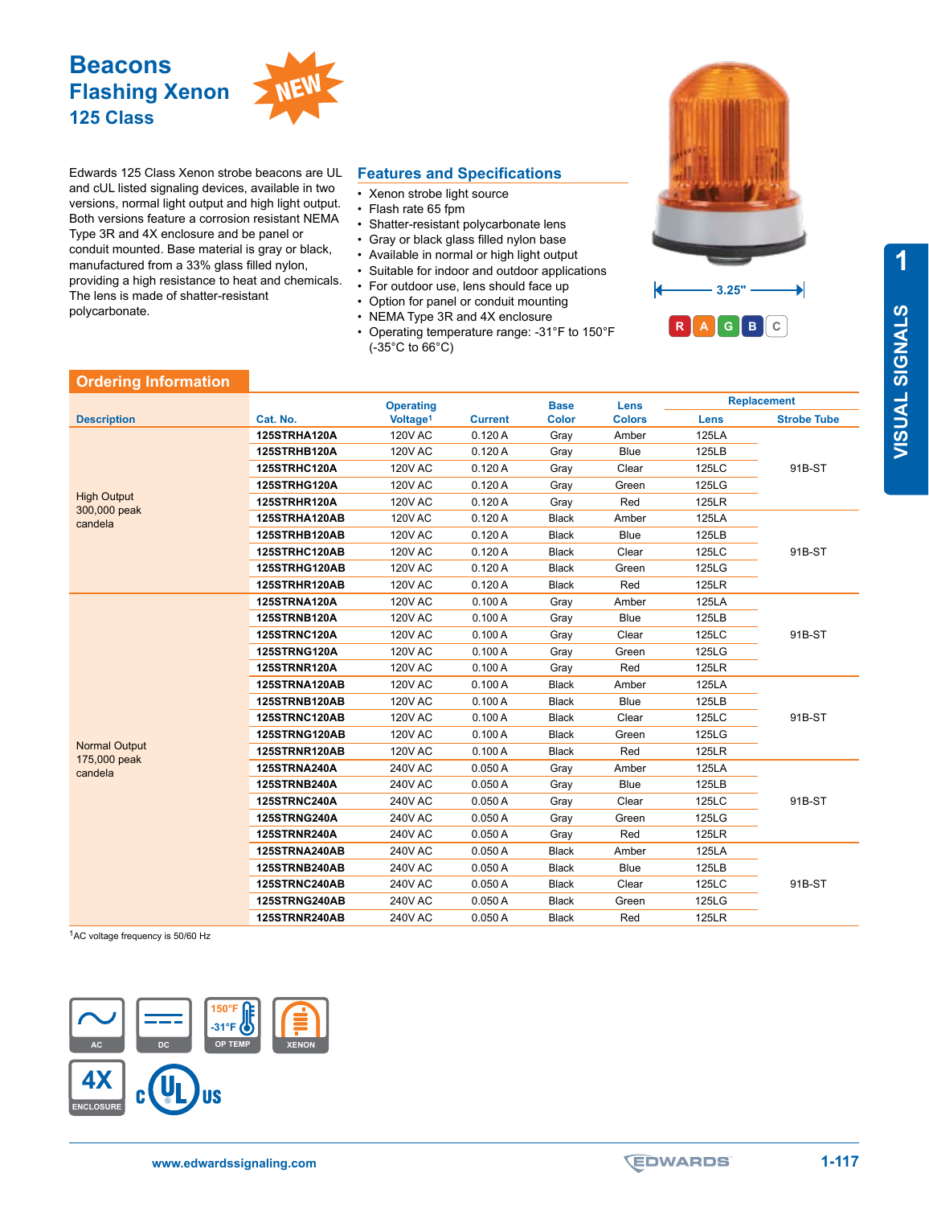

Edwards 125 Class Xenon strobe beacons are UL and cUL listed signaling devices, available in two versions, normal light output and high light output. Both versions feature a corrosion resistant NEMA Type 3R and 4X enclosure and be panel or conduit mounted. Base material is gray or black, manufactured from a 33% glass filled nylon, providing a high resistance to heat and chemicals. The lens is made of shatter-resistant polycarbonate.

## **Features and Specifications**

- Xenon strobe light source
- Flash rate 65 fpm
- Shatter-resistant polycarbonate lens
- Gray or black glass filled nylon base
- Available in normal or high light output
- Suitable for indoor and outdoor applications
- For outdoor use, lens should face up
- Option for panel or conduit mounting
- NEMA Type 3R and 4X enclosure
- Operating temperature range: -31°F to 150°F (-35°C to 66°C)



## **Ordering Information**

|                                               |                     | <b>Operating</b>     |                | <b>Base</b>  | <b>Lens</b>   | <b>Replacement</b> |                    |
|-----------------------------------------------|---------------------|----------------------|----------------|--------------|---------------|--------------------|--------------------|
| <b>Description</b>                            | Cat. No.            | Voltage <sup>1</sup> | <b>Current</b> | <b>Color</b> | <b>Colors</b> | Lens               | <b>Strobe Tube</b> |
| <b>High Output</b><br>300,000 peak<br>candela | 125STRHA120A        | <b>120V AC</b>       | 0.120A         | Gray         | Amber         | <b>125LA</b>       | 91B-ST             |
|                                               | 125STRHB120A        | <b>120V AC</b>       | 0.120A         | Gray         | Blue          | 125LB              |                    |
|                                               | 125STRHC120A        | <b>120V AC</b>       | 0.120A         | Gray         | Clear         | 125LC              |                    |
|                                               | 125STRHG120A        | <b>120V AC</b>       | 0.120A         | Gray         | Green         | 125LG              |                    |
|                                               | 125STRHR120A        | <b>120V AC</b>       | 0.120A         | Gray         | Red           | <b>125LR</b>       |                    |
|                                               | 125STRHA120AB       | <b>120V AC</b>       | 0.120A         | <b>Black</b> | Amber         | 125LA              | 91B-ST             |
|                                               | 125STRHB120AB       | <b>120V AC</b>       | 0.120A         | <b>Black</b> | <b>Blue</b>   | 125LB              |                    |
|                                               | 125STRHC120AB       | <b>120V AC</b>       | 0.120A         | <b>Black</b> | Clear         | 125LC              |                    |
|                                               | 125STRHG120AB       | <b>120V AC</b>       | 0.120A         | <b>Black</b> | Green         | 125LG              |                    |
|                                               | 125STRHR120AB       | <b>120V AC</b>       | 0.120A         | <b>Black</b> | Red           | <b>125LR</b>       |                    |
|                                               | <b>125STRNA120A</b> | <b>120V AC</b>       | 0.100A         | Gray         | Amber         | 125LA              | 91B-ST             |
|                                               | <b>125STRNB120A</b> | <b>120V AC</b>       | 0.100A         | Gray         | <b>Blue</b>   | 125LB              |                    |
|                                               | <b>125STRNC120A</b> | <b>120V AC</b>       | 0.100A         | Gray         | Clear         | 125LC              |                    |
|                                               | <b>125STRNG120A</b> | <b>120V AC</b>       | 0.100A         | Gray         | Green         | 125LG              |                    |
|                                               | <b>125STRNR120A</b> | <b>120V AC</b>       | 0.100A         | Gray         | Red           | <b>125LR</b>       |                    |
|                                               | 125STRNA120AB       | <b>120V AC</b>       | 0.100A         | <b>Black</b> | Amber         | <b>125LA</b>       | 91B-ST             |
|                                               | 125STRNB120AB       | <b>120V AC</b>       | 0.100A         | <b>Black</b> | <b>Blue</b>   | 125LB              |                    |
|                                               | 125STRNC120AB       | <b>120V AC</b>       | 0.100A         | <b>Black</b> | Clear         | 125LC              |                    |
|                                               | 125STRNG120AB       | <b>120V AC</b>       | 0.100A         | <b>Black</b> | Green         | 125LG              |                    |
| <b>Normal Output</b><br>175,000 peak          | 125STRNR120AB       | <b>120V AC</b>       | 0.100A         | <b>Black</b> | Red           | <b>125LR</b>       |                    |
| candela                                       | 125STRNA240A        | <b>240V AC</b>       | 0.050A         | Gray         | Amber         | 125LA              | 91B-ST             |
|                                               | 125STRNB240A        | <b>240V AC</b>       | 0.050A         | Gray         | <b>Blue</b>   | 125LB              |                    |
|                                               | 125STRNC240A        | <b>240V AC</b>       | 0.050A         | Gray         | Clear         | 125LC              |                    |
|                                               | 125STRNG240A        | <b>240V AC</b>       | 0.050A         | Gray         | Green         | 125LG              |                    |
|                                               | 125STRNR240A        | <b>240V AC</b>       | 0.050A         | Gray         | Red           | <b>125LR</b>       |                    |
|                                               | 125STRNA240AB       | <b>240V AC</b>       | 0.050A         | <b>Black</b> | Amber         | <b>125LA</b>       | 91B-ST             |
|                                               | 125STRNB240AB       | <b>240V AC</b>       | 0.050A         | <b>Black</b> | Blue          | 125LB              |                    |
|                                               | 125STRNC240AB       | <b>240V AC</b>       | 0.050A         | <b>Black</b> | Clear         | 125LC              |                    |
|                                               | 125STRNG240AB       | <b>240V AC</b>       | 0.050A         | <b>Black</b> | Green         | 125LG              |                    |
|                                               | 125STRNR240AB       | 240V AC              | 0.050A         | <b>Black</b> | Red           | <b>125LR</b>       |                    |

1AC voltage frequency is 50/60 Hz



**1**